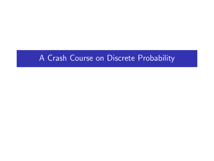# A Crash Course on Discrete Probability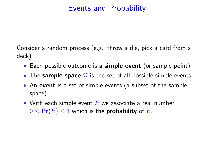## Events and Probability

Consider a random process (e.g., throw a die, pick a card from a deck)

- Each possible outcome is a simple event (or sample point).
- The sample space  $\Omega$  is the set of all possible simple events.
- An event is a set of simple events (a subset of the sample space).
- With each simple event  $E$  we associate a real number  $0 \leq Pr(E) \leq 1$  which is the **probability** of E.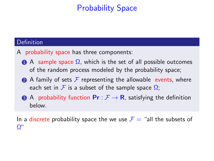# Probability Space

### **Definition**

- A probability space has three components:
	- $\bigcirc$  A sample space  $\Omega$ , which is the set of all possible outcomes of the random process modeled by the probability space;
	- A family of sets  $\mathcal F$  representing the allowable events, where each set in  $\mathcal F$  is a subset of the sample space  $\Omega$ :
	- **3** A probability function  $\mathbf{Pr}: \mathcal{F} \to \mathbf{R}$ , satisfying the definition below.

In a discrete probability space the we use  $\mathcal{F} =$  "all the subsets of Ω"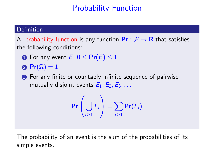# Probability Function

### Definition

A probability function is any function  $\mathsf{Pr}: \mathcal{F} \to \mathsf{R}$  that satisfies the following conditions:

- **1** For any event  $E, 0 \leq Pr(E) \leq 1$ ;
- $\textbf{Pr}(\Omega) = 1$ ;
- **3** For any finite or countably infinite sequence of pairwise mutually disjoint events  $E_1, E_2, E_3, \ldots$

$$
\Pr\left(\bigcup_{i\geq 1} E_i\right) = \sum_{i\geq 1} \Pr(E_i).
$$

The probability of an event is the sum of the probabilities of its simple events.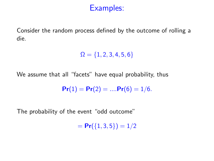Consider the random process defined by the outcome of rolling a die.

 $\Omega = \{1, 2, 3, 4, 5, 6\}$ 

We assume that all "facets" have equal probability, thus

$$
Pr(1) = Pr(2) = .... Pr(6) = 1/6.
$$

The probability of the event "odd outcome"

 $= Pr({1, 3, 5}) = 1/2$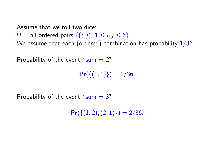Assume that we roll two dice:

 $\Omega$  = all ordered pairs  $\{(i, j), 1 \le i, j \le 6\}.$ 

We assume that each (ordered) combination has probability  $1/36$ .

Probability of the event " $sum = 2$ "

 $Pr({(1, 1)})=1/36.$ 

Probability of the event " $sum = 3$ "

 $Pr({(1, 2), (2, 1)} = 2/36.$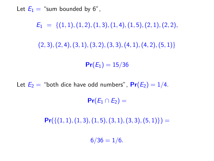Let  $E_1 =$  "sum bounded by 6",

 $E_1 = \{(1, 1), (1, 2), (1, 3), (1, 4), (1, 5), (2, 1), (2, 2),\}$  $(2, 3), (2, 4), (3, 1), (3, 2), (3, 3), (4, 1), (4, 2), (5, 1)$ 

 $Pr(E_1) = 15/36$ 

Let  $E_2$  = "both dice have odd numbers",  $Pr(E_2) = 1/4$ .

 $Pr(E_1 \cap E_2) =$ 

 $Pr({(1, 1), (1, 3), (1, 5), (3, 1), (3, 3), (5, 1)} =$ 

 $6/36 = 1/6.$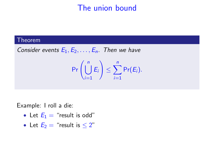## The union bound

#### Theorem

Consider events  $E_1, E_2, \ldots, E_n$ . Then we have

$$
\Pr\left(\bigcup_{i=1}^n E_i\right) \leq \sum_{i=1}^n \Pr(E_i).
$$

Example: I roll a die:

- Let  $E_1 =$  "result is odd"
- Let  $E_2$  = "result is  $\leq 2$ "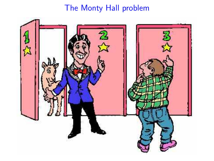# The Monty Hall problem

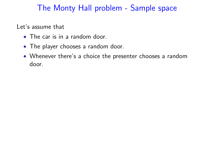### The Monty Hall problem - Sample space

Let's assume that

- The car is in a random door.
- The player chooses a random door.
- Whenever there's a choice the presenter chooses a random door.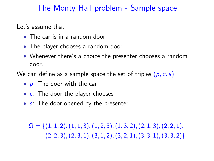### The Monty Hall problem - Sample space

Let's assume that

- The car is in a random door.
- The player chooses a random door.
- Whenever there's a choice the presenter chooses a random door.

We can define as a sample space the set of triples  $(p, c, s)$ :

- $p$ : The door with the car
- $\bullet$   $\cdot$   $\cdot$  The door the player chooses
- s: The door opened by the presenter

 $\Omega = \{(1, 1, 2), (1, 1, 3), (1, 2, 3), (1, 3, 2), (2, 1, 3), (2, 2, 1),$  $(2, 2, 3), (2, 3, 1), (3, 1, 2), (3, 2, 1), (3, 3, 1), (3, 3, 2)$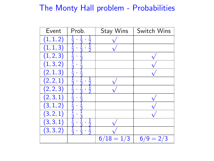## The Monty Hall problem - Probabilities

| Event                | Prob.                                                                    | Stay Wins    | Switch Wins |
|----------------------|--------------------------------------------------------------------------|--------------|-------------|
| (1, 1, 2)            | $\frac{1}{2}$<br>$\frac{1}{3}$                                           |              |             |
| (1, 1, 3)            |                                                                          |              |             |
| (1, 2, 3)            | $\frac{1}{2}$                                                            |              |             |
| (1, 3, 2)            |                                                                          |              |             |
| (2, 1, 3)            | エミュミ                                                                     |              |             |
| (2, 2, 1)            |                                                                          |              |             |
| $\overline{(2,2,3)}$ |                                                                          |              |             |
| (2, 3, 1)            |                                                                          |              |             |
| (3, 1, 2)            |                                                                          |              |             |
| $\overline{(3,2,1)}$ |                                                                          |              |             |
| $\overline{(3,3,1)}$ | $\frac{1}{3}$ $\frac{3}{1}$ $\frac{1}{3}$ $\frac{1}{3}$<br>$\frac{1}{2}$ |              |             |
| (3, 3, 2)            |                                                                          |              |             |
|                      |                                                                          | $6/18 = 1/3$ | $6/9 = 2/3$ |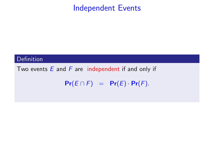### Independent Events

### **Definition**

Two events  $E$  and  $F$  are independent if and only if

 $Pr(E \cap F) = Pr(E) \cdot Pr(F)$ .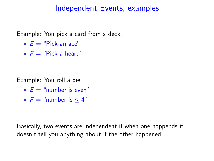### Independent Events, examples

Example: You pick a card from a deck.

- $F = "Pick an ace"$
- $F = "Pick a heart"$

Example: You roll a die

- $E =$  "number is even"
- $F =$  "number is  $\leq 4$ "

Basically, two events are independent if when one happends it doesn't tell you anything about if the other happened.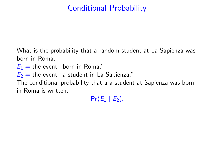# Conditional Probability

What is the probability that a random student at La Sapienza was born in Roma.

 $E_1$  = the event "born in Roma."

 $E_2$  = the event "a student in La Sapienza."

The conditional probability that a a student at Sapienza was born in Roma is written:

 $Pr(E_1 | E_2)$ .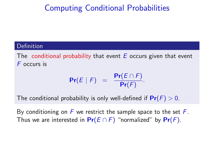# Computing Conditional Probabilities

#### Definition

The conditional probability that event  $E$  occurs given that event F occurs is

$$
Pr(E | F) = \frac{Pr(E \cap F)}{Pr(F)}.
$$

The conditional probability is only well-defined if  $Pr(F) > 0$ .

By conditioning on  $F$  we restrict the sample space to the set  $F$ . Thus we are interested in  $Pr(E \cap F)$  "normalized" by  $Pr(F)$ .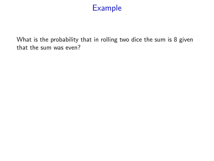What is the probability that in rolling two dice the sum is 8 given that the sum was even?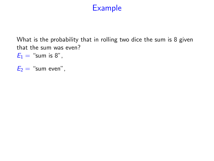What is the probability that in rolling two dice the sum is 8 given that the sum was even?

 $E_1 =$  "sum is 8",

 $E_2 =$  "sum even",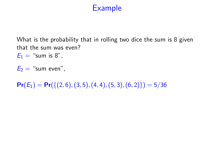What is the probability that in rolling two dice the sum is 8 given that the sum was even?

 $E_1 =$  "sum is 8",

 $E_2 =$  "sum even",

 $Pr(E_1) = Pr({(2, 6), (3, 5), (4, 4), (5, 3), (6, 2)}) = 5/36$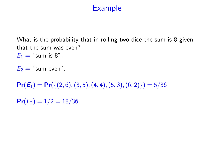What is the probability that in rolling two dice the sum is 8 given that the sum was even?

 $E_1 =$  "sum is 8",

 $E_2 =$  "sum even".

 $Pr(E_1) = Pr({(2, 6), (3, 5), (4, 4), (5, 3), (6, 2)}) = 5/36$ 

 $Pr(E_2) = 1/2 = 18/36.$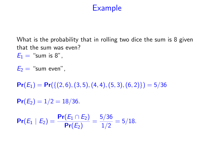What is the probability that in rolling two dice the sum is 8 given that the sum was even?  $E_1 =$  "sum is 8".

 $E_2 =$  "sum even".

 $Pr(E_1) = Pr({(2, 6), (3, 5), (4, 4), (5, 3), (6, 2)}) = 5/36$ 

 $Pr(E_2) = 1/2 = 18/36.$ 

 $Pr(E_1 | E_2) = \frac{Pr(E_1 \cap E_2)}{Pr(E_2)} = \frac{5/36}{1/2}$  $\frac{1}{2}$  = 5/18.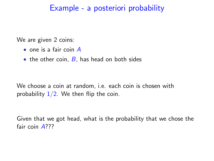### Example - a posteriori probability

We are given 2 coins:

- one is a fair coin A
- the other coin,  $B$ , has head on both sides

We choose a coin at random, i.e. each coin is chosen with probability  $1/2$ . We then flip the coin.

Given that we got head, what is the probability that we chose the fair coin A???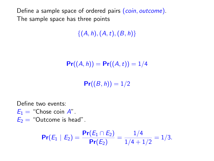Define a sample space of ordered pairs (coin, outcome). The sample space has three points

 $\{(A, h), (A, t), (B, h)\}\$ 

$$
\Pr((A,h)) = \Pr((A,t)) = 1/4
$$

 $Pr((B, h)) = 1/2$ 

Define two events:

 $E_1 =$  "Chose coin A".

 $E_2$  = "Outcome is head".

$$
\Pr(E_1 \mid E_2) = \frac{\Pr(E_1 \cap E_2)}{\Pr(E_2)} = \frac{1/4}{1/4 + 1/2} = 1/3.
$$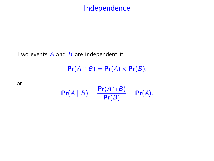## Independence

Two events  $\overline{A}$  and  $\overline{B}$  are independent if

 $Pr(A \cap B) = Pr(A) \times Pr(B),$ 

or

$$
\Pr(A \mid B) = \frac{\Pr(A \cap B)}{\Pr(B)} = \Pr(A).
$$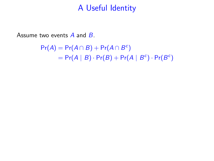Assume two events  $\overline{A}$  and  $\overline{B}$ .

 $Pr(A) = Pr(A \cap B) + Pr(A \cap B^c)$  $= Pr(A | B) \cdot Pr(B) + Pr(A | B<sup>c</sup>) \cdot Pr(B<sup>c</sup>)$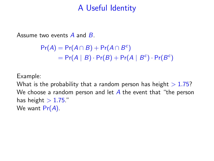Assume two events A and B.

```
Pr(A) = Pr(A \cap B) + Pr(A \cap B^c)= Pr(A | B) \cdot Pr(B) + Pr(A | B<sup>c</sup>) \cdot Pr(B<sup>c</sup>)
```
Example:

What is the probability that a random person has height  $> 1.75$ ? We choose a random person and let  $\overline{A}$  the event that "the person has height  $> 1.75$ ." We want  $Pr(A)$ .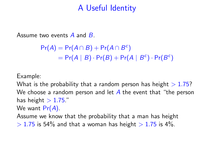Assume two events A and B.

 $Pr(A) = Pr(A \cap B) + Pr(A \cap B^c)$  $= Pr(A | B) \cdot Pr(B) + Pr(A | B<sup>c</sup>) \cdot Pr(B<sup>c</sup>)$ 

Example:

What is the probability that a random person has height  $> 1.75$ ? We choose a random person and let  $\overline{A}$  the event that "the person has height  $> 1.75$ ."

We want  $Pr(A)$ .

Assume we know that the probability that a man has height

 $> 1.75$  is 54% and that a woman has height  $> 1.75$  is 4%.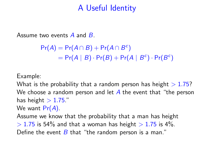Assume two events A and B.

 $Pr(A) = Pr(A \cap B) + Pr(A \cap B^c)$  $= Pr(A | B) \cdot Pr(B) + Pr(A | B<sup>c</sup>) \cdot Pr(B<sup>c</sup>)$ 

Example:

What is the probability that a random person has height  $> 1.75$ ? We choose a random person and let  $\overline{A}$  the event that "the person has height  $> 1.75$ ." We want  $Pr(A)$ .

Assume we know that the probability that a man has height  $> 1.75$  is 54% and that a woman has height  $> 1.75$  is 4%. Define the event  $B$  that "the random person is a man."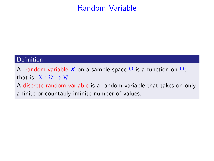## Random Variable

#### Definition

A random variable X on a sample space  $\Omega$  is a function on  $\Omega$ ; that is,  $X : \Omega \to \mathcal{R}$ .

A discrete random variable is a random variable that takes on only a finite or countably infinite number of values.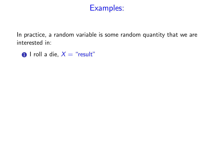In practice, a random variable is some random quantity that we are interested in:

 $\bullet$  I roll a die,  $X =$  "result"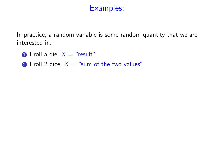- $\bullet$  I roll a die,  $X =$  "result"
- 2 I roll 2 dice,  $X =$  "sum of the two values"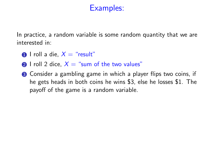- $\bigcap$  I roll a die,  $X =$  "result"
- 2 I roll 2 dice,  $X =$  "sum of the two values"
- **3** Consider a gambling game in which a player flips two coins, if he gets heads in both coins he wins \$3, else he losses \$1. The payoff of the game is a random variable.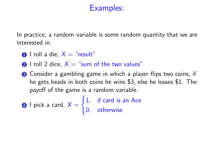- $\bigcap$  I roll a die,  $X =$  "result"
- 2 I roll 2 dice,  $X =$  "sum of the two values"
- **3** Consider a gambling game in which a player flips two coins, if he gets heads in both coins he wins \$3, else he losses \$1. The payoff of the game is a random variable.

**④** I pick a card, 
$$
X = \begin{cases} 1, & \text{if card is an Ace} \\ 0, & \text{otherwise} \end{cases}
$$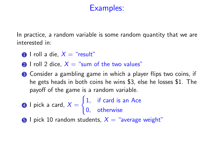- $\bigcap$  I roll a die,  $X =$  "result"
- 2 I roll 2 dice,  $X =$  "sum of the two values"
- **3** Consider a gambling game in which a player flips two coins, if he gets heads in both coins he wins \$3, else he losses \$1. The payoff of the game is a random variable.
- $\bullet$  I pick a card,  $X=$  $\int 1$ , if card is an Ace 0, otherwise
- **6** I pick 10 random students,  $X =$  "average weight"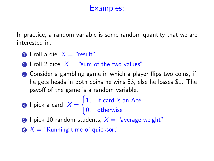- $\bigcap$  I roll a die,  $X =$  "result"
- 2 I roll 2 dice,  $X =$  "sum of the two values"
- **3** Consider a gambling game in which a player flips two coins, if he gets heads in both coins he wins \$3, else he losses \$1. The payoff of the game is a random variable.
- $\bullet$  I pick a card,  $X=$  $\int 1$ , if card is an Ace 0, otherwise
- **6** I pick 10 random students,  $X =$  "average weight"
- $\bullet X$  = "Running time of quicksort"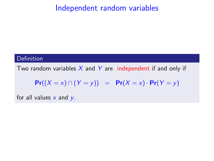### Definition

Two random variables  $X$  and  $Y$  are independent if and only if

$$
Pr((X = x) \cap (Y = y)) = Pr(X = x) \cdot Pr(Y = y)
$$

for all values  $x$  and  $y$ .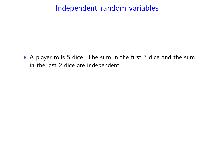• A player rolls 5 dice. The sum in the first 3 dice and the sum in the last 2 dice are independent.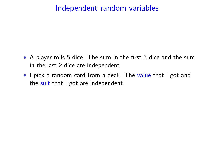- A player rolls 5 dice. The sum in the first 3 dice and the sum in the last 2 dice are independent.
- I pick a random card from a deck. The value that I got and the suit that I got are independent.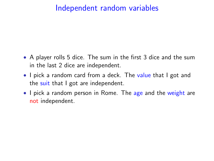- A player rolls 5 dice. The sum in the first 3 dice and the sum in the last 2 dice are independent.
- I pick a random card from a deck. The value that I got and the suit that I got are independent.
- I pick a random person in Rome. The age and the weight are not independent.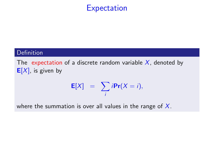## **Expectation**

### **Definition**

The expectation of a discrete random variable  $X$ , denoted by  $E[X]$ , is given by

$$
\mathbf{E}[X] = \sum_i i \mathbf{Pr}(X = i),
$$

where the summation is over all values in the range of  $X$ .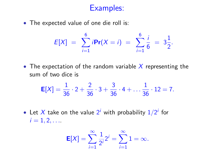• The expected value of one die roll is:

$$
E[X] = \sum_{i=1}^{6} i \mathbf{Pr}(X = i) = \sum_{i=1}^{6} \frac{i}{6} = 3\frac{1}{2}.
$$

• The expectation of the random variable  $X$  representing the sum of two dice is

$$
E[X] = \frac{1}{36} \cdot 2 + \frac{2}{36} \cdot 3 + \frac{3}{36} \cdot 4 + \dots \frac{1}{36} \cdot 12 = 7.
$$

• Let X take on the value  $2^i$  with probability  $1/2^i$  for  $i = 1, 2, \ldots$ .

$$
\textbf{E}[X] = \sum_{i=1}^\infty \frac{1}{2^i} 2^i = \sum_{i=1}^\infty 1 = \infty.
$$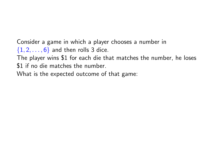Consider a game in which a player chooses a number in  $\{1, 2, \ldots, 6\}$  and then rolls 3 dice.

The player wins \$1 for each die that matches the number, he loses \$1 if no die matches the number.

What is the expected outcome of that game: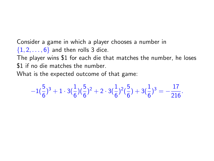Consider a game in which a player chooses a number in  $\{1, 2, \ldots, 6\}$  and then rolls 3 dice.

The player wins \$1 for each die that matches the number, he loses \$1 if no die matches the number.

What is the expected outcome of that game:

$$
-1(\frac{5}{6})^3+1\cdot 3(\frac{1}{6})(\frac{5}{6})^2+2\cdot 3(\frac{1}{6})^2(\frac{5}{6})+3(\frac{1}{6})^3=-\frac{17}{216}.
$$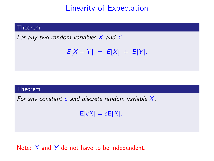## Linearity of Expectation

#### Theorem

For any two random variables  $X$  and  $Y$ 

```
E[X + Y] = E[X] + E[Y].
```
#### Theorem

For any constant  $c$  and discrete random variable  $X$ ,

 $E[cX] = cE[X]$ .

### Note:  $X$  and  $Y$  do not have to be independent.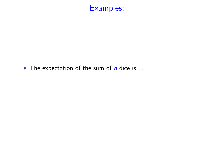

• The expectation of the sum of  $n$  dice is...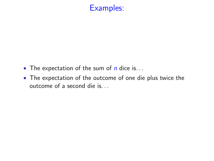- The expectation of the sum of  $n$  dice is...
- The expectation of the outcome of one die plus twice the outcome of a second die is. . .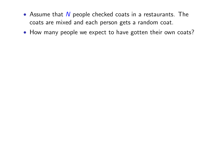- Assume that  $N$  people checked coats in a restaurants. The coats are mixed and each person gets a random coat.
- How many people we expect to have gotten their own coats?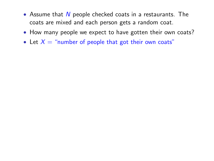- Assume that  $N$  people checked coats in a restaurants. The coats are mixed and each person gets a random coat.
- How many people we expect to have gotten their own coats?
- Let  $X =$  "number of people that got their own coats"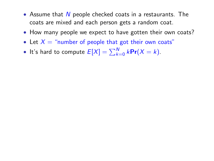- Assume that  $N$  people checked coats in a restaurants. The coats are mixed and each person gets a random coat.
- How many people we expect to have gotten their own coats?
- Let  $X =$  "number of people that got their own coats"
- It's hard to compute  $E[X] = \sum_{k=0}^{N} k \text{Pr}(X = k)$ .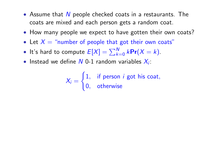- Assume that  $N$  people checked coats in a restaurants. The coats are mixed and each person gets a random coat.
- How many people we expect to have gotten their own coats?
- Let  $X =$  "number of people that got their own coats"
- It's hard to compute  $E[X] = \sum_{k=0}^{N} k \text{Pr}(X = k)$ .
- Instead we define  $N$  0-1 random variables  $X_i$ :

$$
X_i = \begin{cases} 1, & \text{if person } i \text{ got his coat,} \\ 0, & \text{otherwise} \end{cases}
$$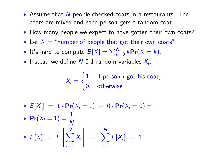- Assume that  $N$  people checked coats in a restaurants. The coats are mixed and each person gets a random coat.
- How many people we expect to have gotten their own coats?
- Let  $X =$  "number of people that got their own coats"
- It's hard to compute  $E[X] = \sum_{k=0}^{N} k \text{Pr}(X = k)$ .
- Instead we define  $N$  0-1 random variables  $X_i$ :

$$
X_i = \begin{cases} 1, & \text{if person } i \text{ got his coat,} \\ 0, & \text{otherwise} \end{cases}
$$

•  $E[X_i] = 1 \cdot Pr(X_i = 1) + 0 \cdot Pr(X_i = 0) =$ 

• 
$$
Pr(X_i = 1) = \frac{1}{N}
$$

• 
$$
E[X] = E\left[\sum_{i=1}^{N} X_i\right] = \sum_{i=1}^{N} E[X_i] = 1
$$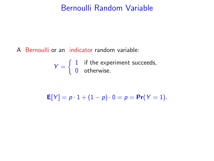### Bernoulli Random Variable

A Bernoulli or an indicator random variable:

 $Y = \begin{cases} 1 & \text{if the experiment succeeds,} \\ 0 & \text{otherwise.} \end{cases}$ 0 otherwise.

 $E[Y] = p \cdot 1 + (1 - p) \cdot 0 = p = Pr(Y = 1).$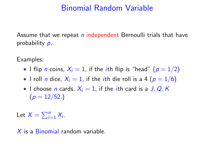## Binomial Random Variable

Assume that we repeat  $n$  independent Bernoulli trials that have probability p.

Examples:

- I flip *n* coins,  $X_i = 1$ , if the *i*th flip is "head" ( $p = 1/2$ )
- I roll *n* dice,  $X_i = 1$ , if the *i*th die roll is a 4 ( $p = 1/6$ )
- I choose *n* cards,  $X_i = 1$ , if the *i*th card is a J, Q, K  $(p = 12/52)$

Let  $X = \sum_{i=1}^{n} X_i$ .

X is a Binomial random variable.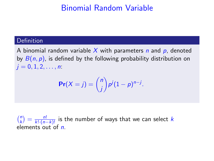## Binomial Random Variable

#### **Definition**

A binomial random variable X with parameters  $n$  and  $p$ , denoted by  $B(n, p)$ , is defined by the following probability distribution on  $j = 0, 1, 2, \ldots, n$ :

$$
\Pr(X=j) = \binom{n}{j} p^j (1-p)^{n-j}.
$$

 $\binom{n}{k}$  $\binom{n}{k} = \frac{n!}{k! \cdot (n-k)!}$  is the number of ways that we can select k elements out of  $n$ .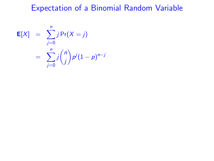# Expectation of a Binomial Random Variable

$$
\mathbf{E}[X] = \sum_{j=0}^{n} j \Pr(X = j)
$$

$$
= \sum_{j=0}^{n} j {n \choose j} p^{j} (1-p)^{n-j}
$$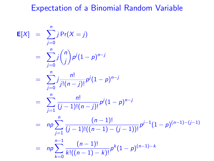## Expectation of a Binomial Random Variable

$$
E[X] = \sum_{j=0}^{n} j Pr(X = j)
$$
  
\n
$$
= \sum_{j=0}^{n} j {n \choose j} p^{j} (1-p)^{n-j}
$$
  
\n
$$
= \sum_{j=0}^{n} j \frac{n!}{j!(n-j)!} p^{j} (1-p)^{n-j}
$$
  
\n
$$
= \sum_{j=1}^{n} \frac{n!}{(j-1)!(n-j)!} p^{j} (1-p)^{n-j}
$$
  
\n
$$
= np \sum_{j=1}^{n} \frac{(n-1)!}{(j-1)!((n-1)-(j-1))!} p^{j-1} (1-p)^{(n-1)-(j-1)}
$$
  
\n
$$
= np \sum_{k=0}^{n-1} \frac{(n-1)!}{k!((n-1)-k)!} p^{k} (1-p)^{(n-1)-k}
$$